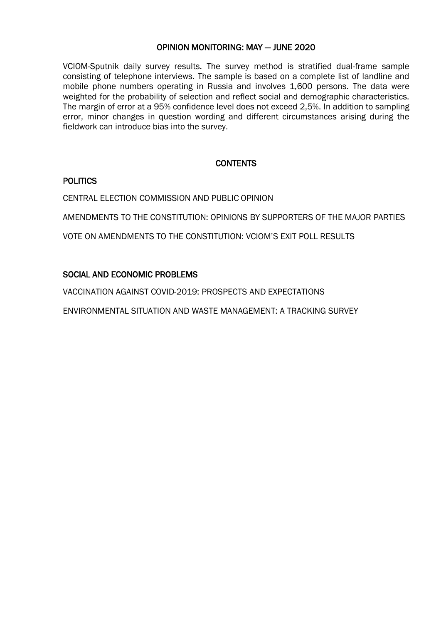### OPINION MONITORING: MAY — JUNE 2020

VCIOM-Sputnik daily survey results. The survey method is stratified dual-frame sample consisting of telephone interviews. The sample is based on a complete list of landline and mobile phone numbers operating in Russia and involves 1,600 persons. The data were weighted for the probability of selection and reflect social and demographic characteristics. The margin of error at a 95% confidence level does not exceed 2,5%. In addition to sampling error, minor changes in question wording and different circumstances arising during the fieldwork can introduce bias into the survey.

### **CONTENTS**

### POLITICS

CENTRAL ELECTION COMMISSION AND PUBLIC OPINION

AMENDMENTS TO THE CONSTITUTION: OPINIONS BY SUPPORTERS OF THE MAJOR PARTIES

VOTE ON AMENDMENTS TO THE CONSTITUTION: VCIOM'S EXIT POLL RESULTS

### SOCIAL AND ECONOMIC PROBLEMS

VACCINATION AGAINST COVID-2019: PROSPECTS AND EXPECTATIONS

ENVIRONMENTAL SITUATION AND WASTE MANAGEMENT: A TRACKING SURVEY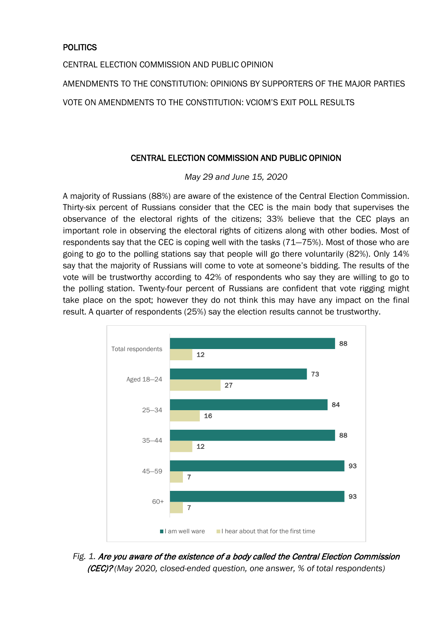## **POLITICS**

CENTRAL ELECTION COMMISSION AND PUBLIC OPINION

AMENDMENTS TO THE CONSTITUTION: OPINIONS BY SUPPORTERS OF THE MAJOR PARTIES

VOTE ON AMENDMENTS TO THE CONSTITUTION: VCIOM'S EXIT POLL RESULTS

### CENTRAL ELECTION COMMISSION AND PUBLIC OPINION

*May 29 and June 15, 2020* 

A majority of Russians (88%) are aware of the existence of the Central Election Commission. Thirty-six percent of Russians consider that the CEC is the main body that supervises the observance of the electoral rights of the citizens; 33% believe that the CEC plays an important role in observing the electoral rights of citizens along with other bodies. Most of respondents say that the CEC is coping well with the tasks (71―75%). Most of those who are going to go to the polling stations say that people will go there voluntarily (82%). Only 14% say that the majority of Russians will come to vote at someone's bidding. The results of the vote will be trustworthy according to 42% of respondents who say they are willing to go to the polling station. Twenty-four percent of Russians are confident that vote rigging might take place on the spot; however they do not think this may have any impact on the final result. A quarter of respondents (25%) say the election results cannot be trustworthy.



*Fig. 1.* Are you aware of the existence of a body called the Central Election Commission (CEC)? *(May 2020, closed-ended question, one answer, % of total respondents)*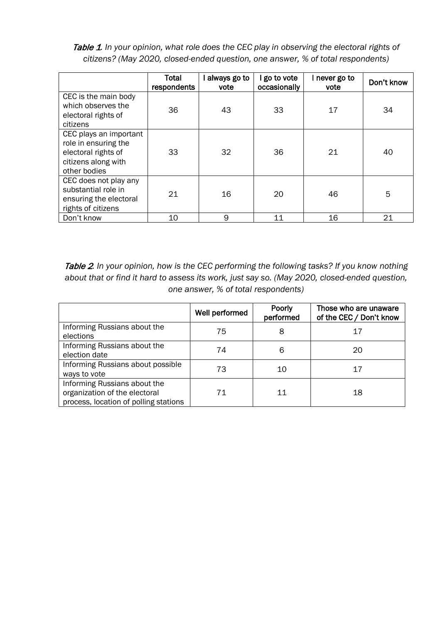Table 1. In your opinion, what role does the CEC play in observing the electoral rights of *citizens? (May 2020, closed-ended question, one answer, % of total respondents)*

|                                                                                                              | Total<br>respondents | always go to<br>vote | go to vote<br>occasionally | I never go to<br>vote | Don't know |
|--------------------------------------------------------------------------------------------------------------|----------------------|----------------------|----------------------------|-----------------------|------------|
| CEC is the main body<br>which observes the<br>electoral rights of<br>citizens                                | 36                   | 43                   | 33                         | 17                    | 34         |
| CEC plays an important<br>role in ensuring the<br>electoral rights of<br>citizens along with<br>other bodies | 33                   | 32                   | 36                         | 21                    | 40         |
| CEC does not play any<br>substantial role in<br>ensuring the electoral<br>rights of citizens                 | 21                   | 16                   | 20                         | 46                    | 5          |
| Don't know                                                                                                   | 10                   | 9                    | 11                         | 16                    | 21         |

Table 2*. In your opinion, how is the CEC performing the following tasks? If you know nothing about that or find it hard to assess its work, just say so. (May 2020, closed-ended question, one answer, % of total respondents)*

|                                                                                                        | Well performed | Poorly<br>performed | Those who are unaware<br>of the CEC / Don't know |
|--------------------------------------------------------------------------------------------------------|----------------|---------------------|--------------------------------------------------|
| Informing Russians about the<br>elections                                                              | 75             | 8                   | 17                                               |
| Informing Russians about the<br>election date                                                          | 74             | 6                   | 20                                               |
| Informing Russians about possible<br>ways to vote                                                      | 73             | 10                  | 17                                               |
| Informing Russians about the<br>organization of the electoral<br>process, location of polling stations | 71             | 11                  | 18                                               |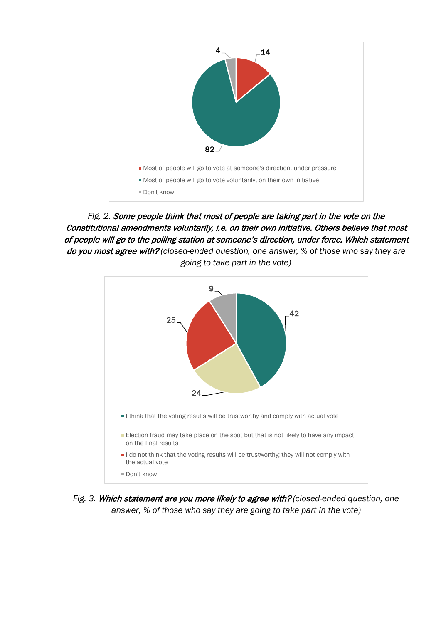

*Fig. 2.* Some people think that most of people are taking part in the vote on the Constitutional amendments voluntarily, i.e. on their own initiative. Others believe that most of people will go to the polling station at someone's direction, under force. Which statement do you most agree with? *(closed-ended question, one answer, % of those who say they are going to take part in the vote)*



*Fig. 3.* Which statement are you more likely to agree with? *(closed-ended question, one answer, % of those who say they are going to take part in the vote)*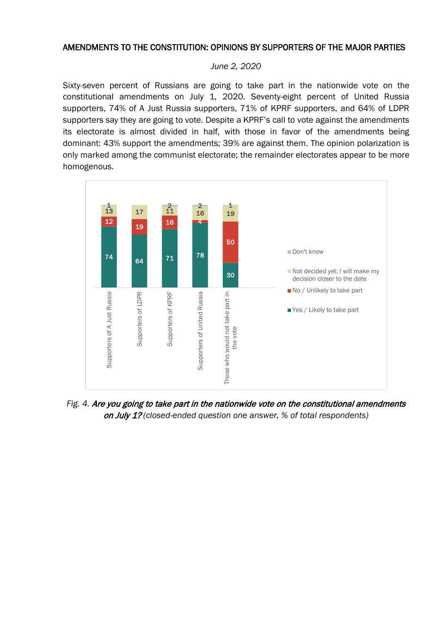### AMENDMENTS TO THE CONSTITUTION: OPINIONS BY SUPPORTERS OF THE MAJOR PARTIES

#### *June 2, 2020*

Sixty-seven percent of Russians are going to take part in the nationwide vote on the constitutional amendments on July 1, 2020. Seventy-eight percent of United Russia supporters, 74% of A Just Russia supporters, 71% of KPRF supporters, and 64% of LDPR supporters say they are going to vote. Despite a KPRF's call to vote against the amendments its electorate is almost divided in half, with those in favor of the amendments being dominant: 43% support the amendments; 39% are against them. The opinion polarization is only marked among the communist electorate; the remainder electorates appear to be more homogenous.



*Fig. 4.* Are you going to take part in the nationwide vote on the constitutional amendments on July 1? *(closed-ended question one answer, % of total respondents)*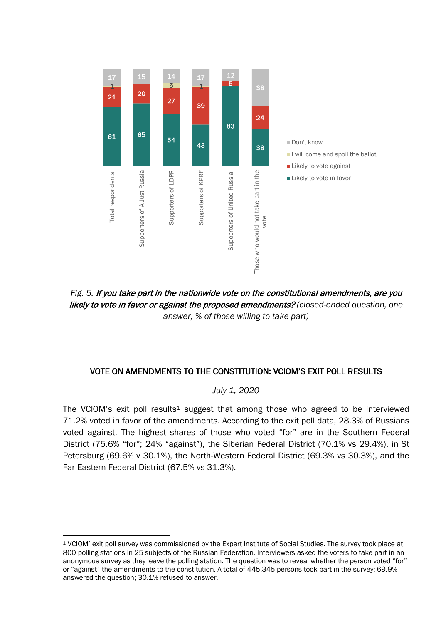

*Fig. 5.* If you take part in the nationwide vote on the constitutional amendments, are you likely to vote in favor or against the proposed amendments? *(closed-ended question, one answer, % of those willing to take part)*

# VOTE ON AMENDMENTS TO THE CONSTITUTION: VCIOM'S EXIT POLL RESULTS

### *July 1, 2020*

The VCIOM's exit poll results<sup>[1](#page-5-0)</sup> suggest that among those who agreed to be interviewed 71.2% voted in favor of the amendments. According to the exit poll data, 28.3% of Russians voted against. The highest shares of those who voted "for" are in the Southern Federal District (75.6% "for"; 24% "against"), the Siberian Federal District (70.1% vs 29.4%), in St Petersburg (69.6% v 30.1%), the North-Western Federal District (69.3% vs 30.3%), and the Far-Eastern Federal District (67.5% vs 31.3%).

<span id="page-5-0"></span><sup>1</sup> VCIOM' exit poll survey was commissioned by the Expert Institute of Social Studies. The survey took place at 800 polling stations in 25 subjects of the Russian Federation. Interviewers asked the voters to take part in an anonymous survey as they leave the polling station. The question was to reveal whether the person voted "for" or "against" the amendments to the constitution. A total of 445,345 persons took part in the survey; 69.9% answered the question; 30.1% refused to answer.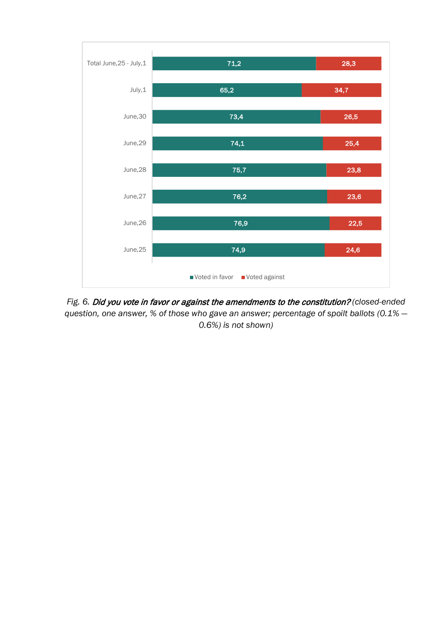

*Fig. 6.* Did you vote in favor or against the amendments to the constitution? *(closed-ended question, one answer, % of those who gave an answer; percentage of spoilt ballots (0.1% — 0.6%) is not shown)*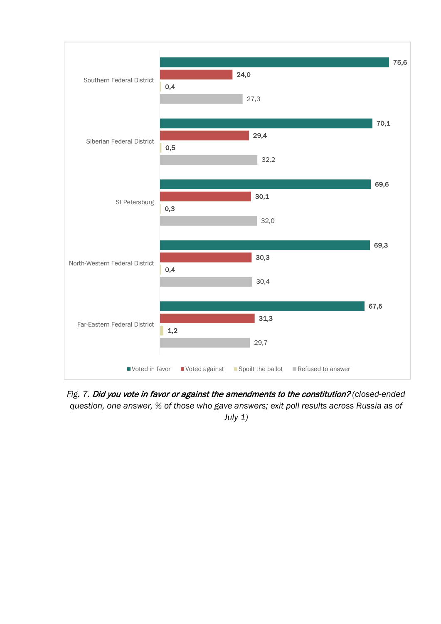

*Fig. 7.* Did you vote in favor or against the amendments to the constitution? *(closed-ended question, one answer, % of those who gave answers; exit poll results across Russia as of July 1)*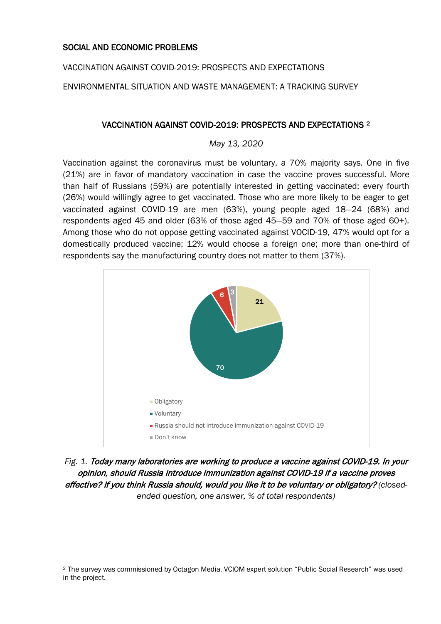### SOCIAL AND ECONOMIC PROBLEMS

VACCINATION AGAINST COVID-2019: PROSPECTS AND EXPECTATIONS

ENVIRONMENTAL SITUATION AND WASTE MANAGEMENT: A TRACKING SURVEY

### VACCINATION AGAINST COVID-2019: PROSPECTS AND EXPECTATIONS [2](#page-8-0)

*May 13, 2020*

Vaccination against the coronavirus must be voluntary, a 70% majority says. One in five (21%) are in favor of mandatory vaccination in case the vaccine proves successful. More than half of Russians (59%) are potentially interested in getting vaccinated; every fourth (26%) would willingly agree to get vaccinated. Those who are more likely to be eager to get vaccinated against COVID-19 are men (63%), young people aged 18―24 (68%) and respondents aged 45 and older (63% of those aged 45―59 and 70% of those aged 60+). Among those who do not oppose getting vaccinated against VOCID-19, 47% would opt for a domestically produced vaccine; 12% would choose a foreign one; more than one-third of respondents say the manufacturing country does not matter to them (37%).



*Fig. 1.* Today many laboratories are working to produce a vaccine against COVID-19. In your opinion, should Russia introduce immunization against COVID-19 if a vaccine proves effective? If you think Russia should, would you like it to be voluntary or obligatory? *(closedended question, one answer, % of total respondents)*

<span id="page-8-0"></span><sup>2</sup> The survey was commissioned by Octagon Media. VCIOM expert solution "Public Social Research" was used in the project.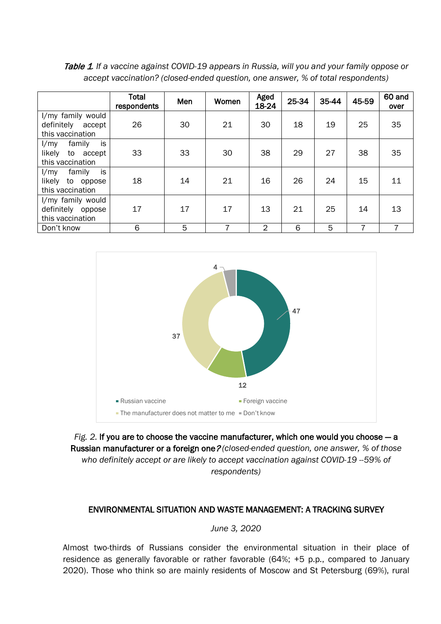Table 1*. If a vaccine against COVID-19 appears in Russia, will you and your family oppose or accept vaccination? (closed-ended question, one answer, % of total respondents)*

|                                                                    | <b>Total</b><br>respondents | Men | Women | Aged<br>18-24  | 25-34 | 35-44 | 45-59 | 60 and<br>over |
|--------------------------------------------------------------------|-----------------------------|-----|-------|----------------|-------|-------|-------|----------------|
| I/my family would<br>definitely<br>accept<br>this vaccination      | 26                          | 30  | 21    | 30             | 18    | 19    | 25    | 35             |
| is<br>family<br>1/my<br>likely<br>to<br>accept<br>this vaccination | 33                          | 33  | 30    | 38             | 29    | 27    | 38    | 35             |
| is<br>family<br>1/my<br>likely<br>to<br>oppose<br>this vaccination | 18                          | 14  | 21    | 16             | 26    | 24    | 15    | 11             |
| I/my family would<br>definitely<br>oppose<br>this vaccination      | 17                          | 17  | 17    | 13             | 21    | 25    | 14    | 13             |
| Don't know                                                         | 6                           | 5   |       | $\overline{2}$ | 6     | 5     |       | 7              |



*Fig. 2.* If you are to choose the vaccine manufacturer, which one would you choose — a Russian manufacturer or a foreign one? *(closed-ended question, one answer, % of those who definitely accept or are likely to accept vaccination against COVID-19 --59% of respondents)*

#### ENVIRONMENTAL SITUATION AND WASTE MANAGEMENT: A TRACKING SURVEY

#### *June 3, 2020*

Almost two-thirds of Russians consider the environmental situation in their place of residence as generally favorable or rather favorable (64%; +5 p.p., compared to January 2020). Those who think so are mainly residents of Moscow and St Petersburg (69%), rural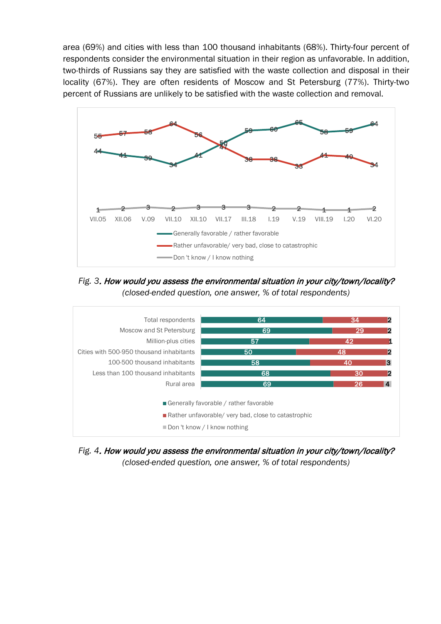area (69%) and cities with less than 100 thousand inhabitants (68%). Thirty-four percent of respondents consider the environmental situation in their region as unfavorable. In addition, two-thirds of Russians say they are satisfied with the waste collection and disposal in their locality (67%). They are often residents of Moscow and St Petersburg (77%). Thirty-two percent of Russians are unlikely to be satisfied with the waste collection and removal.



*Fig. 3*. How would you assess the environmental situation in your city/town/locality? *(closed-ended question, one answer, % of total respondents)*



*Fig. 4*. How would you assess the environmental situation in your city/town/locality? *(closed-ended question, one answer, % of total respondents)*